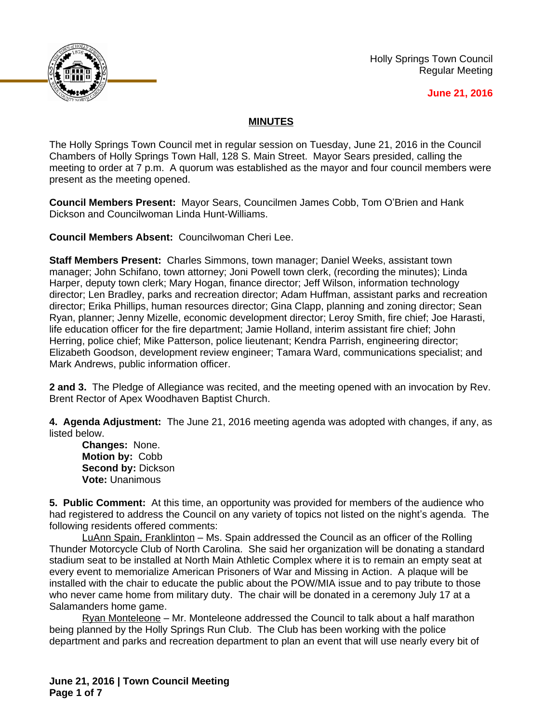

Holly Springs Town Council Regular Meeting

## **June 21, 2016**

## **MINUTES**

The Holly Springs Town Council met in regular session on Tuesday, June 21, 2016 in the Council Chambers of Holly Springs Town Hall, 128 S. Main Street. Mayor Sears presided, calling the meeting to order at 7 p.m. A quorum was established as the mayor and four council members were present as the meeting opened.

**Council Members Present:** Mayor Sears, Councilmen James Cobb, Tom O'Brien and Hank Dickson and Councilwoman Linda Hunt-Williams.

**Council Members Absent:** Councilwoman Cheri Lee.

**Staff Members Present:** Charles Simmons, town manager; Daniel Weeks, assistant town manager; John Schifano, town attorney; Joni Powell town clerk, (recording the minutes); Linda Harper, deputy town clerk; Mary Hogan, finance director; Jeff Wilson, information technology director; Len Bradley, parks and recreation director; Adam Huffman, assistant parks and recreation director; Erika Phillips, human resources director; Gina Clapp, planning and zoning director; Sean Ryan, planner; Jenny Mizelle, economic development director; Leroy Smith, fire chief; Joe Harasti, life education officer for the fire department; Jamie Holland, interim assistant fire chief; John Herring, police chief; Mike Patterson, police lieutenant; Kendra Parrish, engineering director; Elizabeth Goodson, development review engineer; Tamara Ward, communications specialist; and Mark Andrews, public information officer.

**2 and 3.** The Pledge of Allegiance was recited, and the meeting opened with an invocation by Rev. Brent Rector of Apex Woodhaven Baptist Church.

**4. Agenda Adjustment:** The June 21, 2016 meeting agenda was adopted with changes, if any, as listed below.

**Changes:** None. **Motion by:** Cobb **Second by:** Dickson **Vote:** Unanimous

**5. Public Comment:** At this time, an opportunity was provided for members of the audience who had registered to address the Council on any variety of topics not listed on the night's agenda. The following residents offered comments:

LuAnn Spain, Franklinton – Ms. Spain addressed the Council as an officer of the Rolling Thunder Motorcycle Club of North Carolina. She said her organization will be donating a standard stadium seat to be installed at North Main Athletic Complex where it is to remain an empty seat at every event to memorialize American Prisoners of War and Missing in Action. A plaque will be installed with the chair to educate the public about the POW/MIA issue and to pay tribute to those who never came home from military duty. The chair will be donated in a ceremony July 17 at a Salamanders home game.

Ryan Monteleone – Mr. Monteleone addressed the Council to talk about a half marathon being planned by the Holly Springs Run Club. The Club has been working with the police department and parks and recreation department to plan an event that will use nearly every bit of

**June 21, 2016 | Town Council Meeting Page 1 of 7**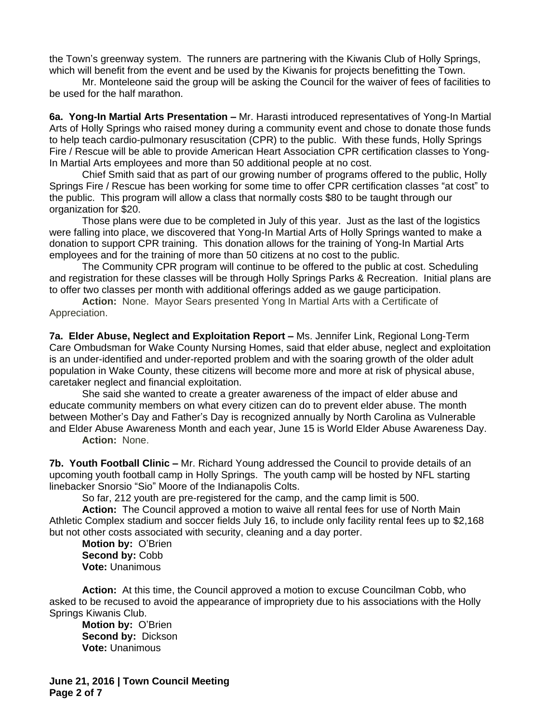the Town's greenway system. The runners are partnering with the Kiwanis Club of Holly Springs, which will benefit from the event and be used by the Kiwanis for projects benefitting the Town.

Mr. Monteleone said the group will be asking the Council for the waiver of fees of facilities to be used for the half marathon.

**6a. Yong-In Martial Arts Presentation –** Mr. Harasti introduced representatives of Yong-In Martial Arts of Holly Springs who raised money during a community event and chose to donate those funds to help teach cardio-pulmonary resuscitation (CPR) to the public. With these funds, Holly Springs Fire / Rescue will be able to provide American Heart Association CPR certification classes to Yong-In Martial Arts employees and more than 50 additional people at no cost.

Chief Smith said that as part of our growing number of programs offered to the public, Holly Springs Fire / Rescue has been working for some time to offer CPR certification classes "at cost" to the public. This program will allow a class that normally costs \$80 to be taught through our organization for \$20.

Those plans were due to be completed in July of this year. Just as the last of the logistics were falling into place, we discovered that Yong-In Martial Arts of Holly Springs wanted to make a donation to support CPR training. This donation allows for the training of Yong-In Martial Arts employees and for the training of more than 50 citizens at no cost to the public.

The Community CPR program will continue to be offered to the public at cost. Scheduling and registration for these classes will be through Holly Springs Parks & Recreation. Initial plans are to offer two classes per month with additional offerings added as we gauge participation.

**Action:** None. Mayor Sears presented Yong In Martial Arts with a Certificate of Appreciation.

**7a. Elder Abuse, Neglect and Exploitation Report - Ms. Jennifer Link, Regional Long-Term** Care Ombudsman for Wake County Nursing Homes, said that elder abuse, neglect and exploitation is an under-identified and under-reported problem and with the soaring growth of the older adult population in Wake County, these citizens will become more and more at risk of physical abuse, caretaker neglect and financial exploitation.

She said she wanted to create a greater awareness of the impact of elder abuse and educate community members on what every citizen can do to prevent elder abuse. The month between Mother's Day and Father's Day is recognized annually by North Carolina as Vulnerable and Elder Abuse Awareness Month and each year, June 15 is World Elder Abuse Awareness Day.

**Action:** None.

**7b. Youth Football Clinic –** Mr. Richard Young addressed the Council to provide details of an upcoming youth football camp in Holly Springs. The youth camp will be hosted by NFL starting linebacker Snorsio "Sio" Moore of the Indianapolis Colts.

So far, 212 youth are pre-registered for the camp, and the camp limit is 500.

**Action:** The Council approved a motion to waive all rental fees for use of North Main Athletic Complex stadium and soccer fields July 16, to include only facility rental fees up to \$2,168 but not other costs associated with security, cleaning and a day porter.

**Motion by:** O'Brien **Second by:** Cobb **Vote:** Unanimous

**Action:** At this time, the Council approved a motion to excuse Councilman Cobb, who asked to be recused to avoid the appearance of impropriety due to his associations with the Holly Springs Kiwanis Club.

**Motion by:** O'Brien **Second by:** Dickson **Vote:** Unanimous

**June 21, 2016 | Town Council Meeting Page 2 of 7**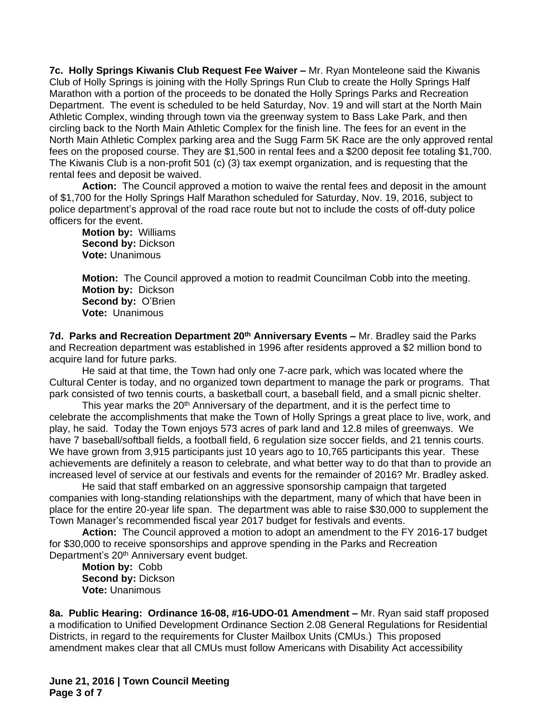**7c. Holly Springs Kiwanis Club Request Fee Waiver –** Mr. Ryan Monteleone said the Kiwanis Club of Holly Springs is joining with the Holly Springs Run Club to create the Holly Springs Half Marathon with a portion of the proceeds to be donated the Holly Springs Parks and Recreation Department. The event is scheduled to be held Saturday, Nov. 19 and will start at the North Main Athletic Complex, winding through town via the greenway system to Bass Lake Park, and then circling back to the North Main Athletic Complex for the finish line. The fees for an event in the North Main Athletic Complex parking area and the Sugg Farm 5K Race are the only approved rental fees on the proposed course. They are \$1,500 in rental fees and a \$200 deposit fee totaling \$1,700. The Kiwanis Club is a non-profit 501 (c) (3) tax exempt organization, and is requesting that the rental fees and deposit be waived.

**Action:** The Council approved a motion to waive the rental fees and deposit in the amount of \$1,700 for the Holly Springs Half Marathon scheduled for Saturday, Nov. 19, 2016, subject to police department's approval of the road race route but not to include the costs of off-duty police officers for the event.

**Motion by:** Williams **Second by:** Dickson **Vote:** Unanimous

**Motion:** The Council approved a motion to readmit Councilman Cobb into the meeting. **Motion by:** Dickson **Second by:** O'Brien **Vote:** Unanimous

**7d. Parks and Recreation Department 20th Anniversary Events –** Mr. Bradley said the Parks and Recreation department was established in 1996 after residents approved a \$2 million bond to acquire land for future parks.

He said at that time, the Town had only one 7-acre park, which was located where the Cultural Center is today, and no organized town department to manage the park or programs. That park consisted of two tennis courts, a basketball court, a baseball field, and a small picnic shelter.

This year marks the 20<sup>th</sup> Anniversary of the department, and it is the perfect time to celebrate the accomplishments that make the Town of Holly Springs a great place to live, work, and play, he said. Today the Town enjoys 573 acres of park land and 12.8 miles of greenways. We have 7 baseball/softball fields, a football field, 6 regulation size soccer fields, and 21 tennis courts. We have grown from 3,915 participants just 10 years ago to 10,765 participants this year. These achievements are definitely a reason to celebrate, and what better way to do that than to provide an increased level of service at our festivals and events for the remainder of 2016? Mr. Bradley asked.

He said that staff embarked on an aggressive sponsorship campaign that targeted companies with long-standing relationships with the department, many of which that have been in place for the entire 20-year life span. The department was able to raise \$30,000 to supplement the Town Manager's recommended fiscal year 2017 budget for festivals and events.

**Action:** The Council approved a motion to adopt an amendment to the FY 2016-17 budget for \$30,000 to receive sponsorships and approve spending in the Parks and Recreation Department's 20<sup>th</sup> Anniversary event budget.

**Motion by:** Cobb **Second by:** Dickson **Vote:** Unanimous

**8a. Public Hearing: Ordinance 16-08, #16-UDO-01 Amendment –** Mr. Ryan said staff proposed a modification to Unified Development Ordinance Section 2.08 General Regulations for Residential Districts, in regard to the requirements for Cluster Mailbox Units (CMUs.) This proposed amendment makes clear that all CMUs must follow Americans with Disability Act accessibility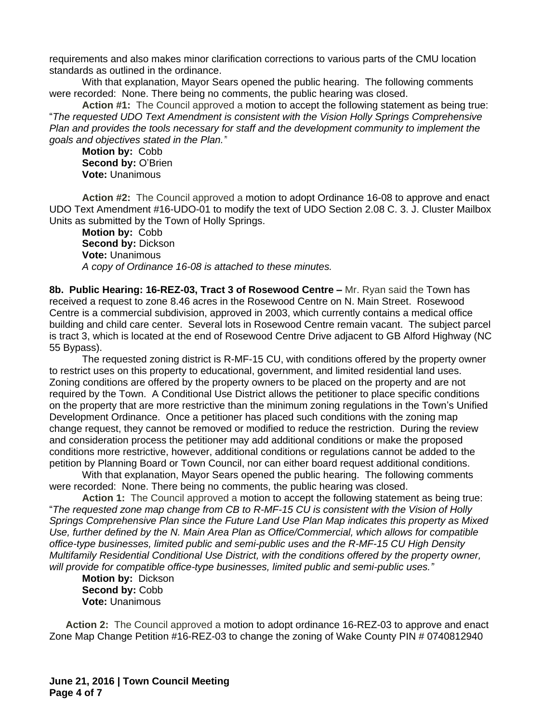requirements and also makes minor clarification corrections to various parts of the CMU location standards as outlined in the ordinance.

With that explanation, Mayor Sears opened the public hearing. The following comments were recorded: None. There being no comments, the public hearing was closed.

**Action #1:** The Council approved a motion to accept the following statement as being true: "*The requested UDO Text Amendment is consistent with the Vision Holly Springs Comprehensive Plan and provides the tools necessary for staff and the development community to implement the goals and objectives stated in the Plan."*

**Motion by:** Cobb Second by: O'Brien **Vote:** Unanimous

**Action #2:** The Council approved a motion to adopt Ordinance 16-08 to approve and enact UDO Text Amendment #16-UDO-01 to modify the text of UDO Section 2.08 C. 3. J. Cluster Mailbox Units as submitted by the Town of Holly Springs.

**Motion by:** Cobb **Second by:** Dickson **Vote:** Unanimous *A copy of Ordinance 16-08 is attached to these minutes.*

**8b. Public Hearing: 16-REZ-03, Tract 3 of Rosewood Centre – Mr. Ryan said the Town has** received a request to zone 8.46 acres in the Rosewood Centre on N. Main Street. Rosewood Centre is a commercial subdivision, approved in 2003, which currently contains a medical office building and child care center. Several lots in Rosewood Centre remain vacant. The subject parcel is tract 3, which is located at the end of Rosewood Centre Drive adjacent to GB Alford Highway (NC 55 Bypass).

The requested zoning district is R-MF-15 CU, with conditions offered by the property owner to restrict uses on this property to educational, government, and limited residential land uses. Zoning conditions are offered by the property owners to be placed on the property and are not required by the Town. A Conditional Use District allows the petitioner to place specific conditions on the property that are more restrictive than the minimum zoning regulations in the Town's Unified Development Ordinance. Once a petitioner has placed such conditions with the zoning map change request, they cannot be removed or modified to reduce the restriction. During the review and consideration process the petitioner may add additional conditions or make the proposed conditions more restrictive, however, additional conditions or regulations cannot be added to the petition by Planning Board or Town Council, nor can either board request additional conditions.

With that explanation, Mayor Sears opened the public hearing. The following comments were recorded: None. There being no comments, the public hearing was closed.

**Action 1:** The Council approved a motion to accept the following statement as being true: "*The requested zone map change from CB to R-MF-15 CU is consistent with the Vision of Holly Springs Comprehensive Plan since the Future Land Use Plan Map indicates this property as Mixed Use, further defined by the N. Main Area Plan as Office/Commercial, which allows for compatible office-type businesses, limited public and semi-public uses and the R-MF-15 CU High Density Multifamily Residential Conditional Use District, with the conditions offered by the property owner, will provide for compatible office-type businesses, limited public and semi-public uses."*

**Motion by:** Dickson Second by: Cobb **Vote:** Unanimous

**Action 2:** The Council approved a motion to adopt ordinance 16-REZ-03 to approve and enact Zone Map Change Petition #16-REZ-03 to change the zoning of Wake County PIN # 0740812940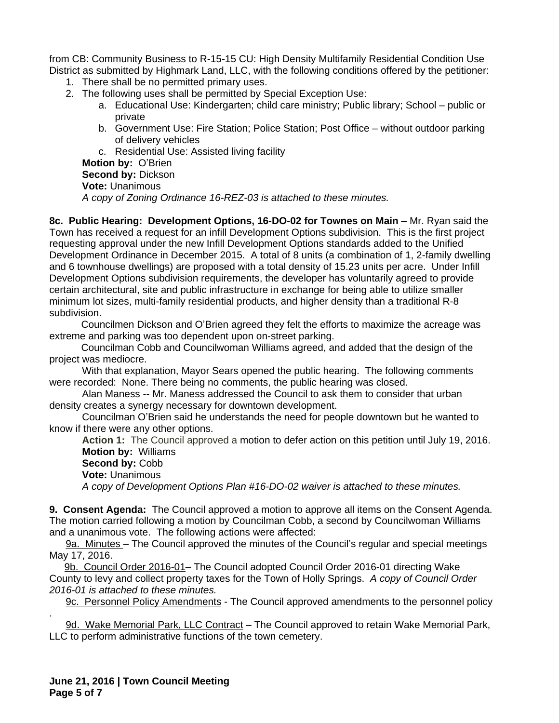from CB: Community Business to R-15-15 CU: High Density Multifamily Residential Condition Use District as submitted by Highmark Land, LLC, with the following conditions offered by the petitioner:

- 1. There shall be no permitted primary uses.
- 2. The following uses shall be permitted by Special Exception Use:
	- a. Educational Use: Kindergarten; child care ministry; Public library; School public or private
	- b. Government Use: Fire Station; Police Station; Post Office without outdoor parking of delivery vehicles

c. Residential Use: Assisted living facility

**Motion by:** O'Brien

**Second by:** Dickson

**Vote:** Unanimous

*A copy of Zoning Ordinance 16-REZ-03 is attached to these minutes.*

**8c. Public Hearing: Development Options, 16-DO-02 for Townes on Main - Mr. Ryan said the** Town has received a request for an infill Development Options subdivision. This is the first project requesting approval under the new Infill Development Options standards added to the Unified Development Ordinance in December 2015. A total of 8 units (a combination of 1, 2-family dwelling and 6 townhouse dwellings) are proposed with a total density of 15.23 units per acre. Under Infill Development Options subdivision requirements, the developer has voluntarily agreed to provide certain architectural, site and public infrastructure in exchange for being able to utilize smaller minimum lot sizes, multi-family residential products, and higher density than a traditional R-8 subdivision.

Councilmen Dickson and O'Brien agreed they felt the efforts to maximize the acreage was extreme and parking was too dependent upon on-street parking.

Councilman Cobb and Councilwoman Williams agreed, and added that the design of the project was mediocre.

With that explanation, Mayor Sears opened the public hearing. The following comments were recorded: None. There being no comments, the public hearing was closed.

Alan Maness -- Mr. Maness addressed the Council to ask them to consider that urban density creates a synergy necessary for downtown development.

Councilman O'Brien said he understands the need for people downtown but he wanted to know if there were any other options.

**Action 1:** The Council approved a motion to defer action on this petition until July 19, 2016. **Motion by:** Williams

**Second by:** Cobb

**Vote:** Unanimous

*A copy of Development Options Plan #16-DO-02 waiver is attached to these minutes.*

**9. Consent Agenda:** The Council approved a motion to approve all items on the Consent Agenda. The motion carried following a motion by Councilman Cobb, a second by Councilwoman Williams and a unanimous vote. The following actions were affected:

9a. Minutes – The Council approved the minutes of the Council's regular and special meetings May 17, 2016.

9b. Council Order 2016-01– The Council adopted Council Order 2016-01 directing Wake County to levy and collect property taxes for the Town of Holly Springs. *A copy of Council Order 2016-01 is attached to these minutes.*

9c. Personnel Policy Amendments - The Council approved amendments to the personnel policy

. 9d. Wake Memorial Park, LLC Contract – The Council approved to retain Wake Memorial Park, LLC to perform administrative functions of the town cemetery.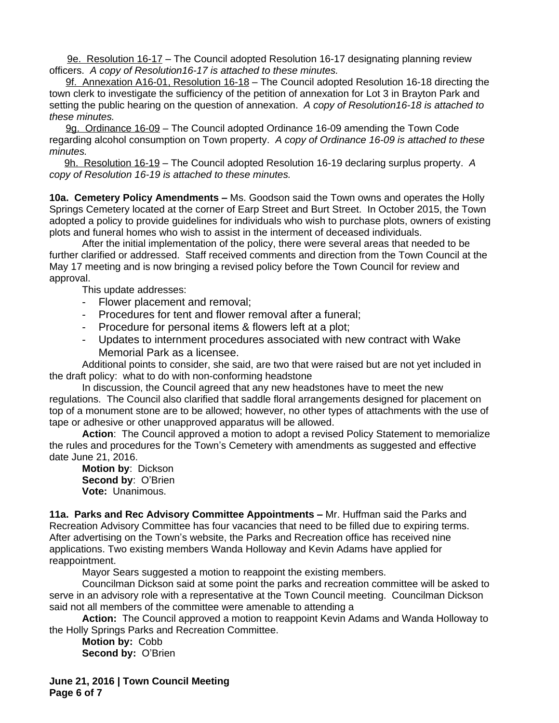9e. Resolution 16-17 – The Council adopted Resolution 16-17 designating planning review officers. *A copy of Resolution16-17 is attached to these minutes.*

9f. Annexation A16-01, Resolution 16-18 – The Council adopted Resolution 16-18 directing the town clerk to investigate the sufficiency of the petition of annexation for Lot 3 in Brayton Park and setting the public hearing on the question of annexation.*A copy of Resolution16-18 is attached to these minutes.*

9g. Ordinance 16-09 – The Council adopted Ordinance 16-09 amending the Town Code regarding alcohol consumption on Town property. *A copy of Ordinance 16-09 is attached to these minutes.*

9h. Resolution 16-19 – The Council adopted Resolution 16-19 declaring surplus property. *A copy of Resolution 16-19 is attached to these minutes.*

**10a. Cemetery Policy Amendments –** Ms. Goodson said the Town owns and operates the Holly Springs Cemetery located at the corner of Earp Street and Burt Street. In October 2015, the Town adopted a policy to provide guidelines for individuals who wish to purchase plots, owners of existing plots and funeral homes who wish to assist in the interment of deceased individuals.

After the initial implementation of the policy, there were several areas that needed to be further clarified or addressed. Staff received comments and direction from the Town Council at the May 17 meeting and is now bringing a revised policy before the Town Council for review and approval.

This update addresses:

- Flower placement and removal;
- Procedures for tent and flower removal after a funeral;
- Procedure for personal items & flowers left at a plot;
- Updates to internment procedures associated with new contract with Wake Memorial Park as a licensee.

Additional points to consider, she said, are two that were raised but are not yet included in the draft policy: what to do with non-conforming headstone

In discussion, the Council agreed that any new headstones have to meet the new regulations. The Council also clarified that saddle floral arrangements designed for placement on top of a monument stone are to be allowed; however, no other types of attachments with the use of tape or adhesive or other unapproved apparatus will be allowed.

**Action**: The Council approved a motion to adopt a revised Policy Statement to memorialize the rules and procedures for the Town's Cemetery with amendments as suggested and effective date June 21, 2016.

**Motion by**: Dickson **Second by**: O'Brien **Vote:** Unanimous.

**11a. Parks and Rec Advisory Committee Appointments –** Mr. Huffman said the Parks and Recreation Advisory Committee has four vacancies that need to be filled due to expiring terms. After advertising on the Town's website, the Parks and Recreation office has received nine applications. Two existing members Wanda Holloway and Kevin Adams have applied for reappointment.

Mayor Sears suggested a motion to reappoint the existing members.

Councilman Dickson said at some point the parks and recreation committee will be asked to serve in an advisory role with a representative at the Town Council meeting. Councilman Dickson said not all members of the committee were amenable to attending a

**Action:** The Council approved a motion to reappoint Kevin Adams and Wanda Holloway to the Holly Springs Parks and Recreation Committee.

**Motion by:** Cobb **Second by:** O'Brien

**June 21, 2016 | Town Council Meeting Page 6 of 7**